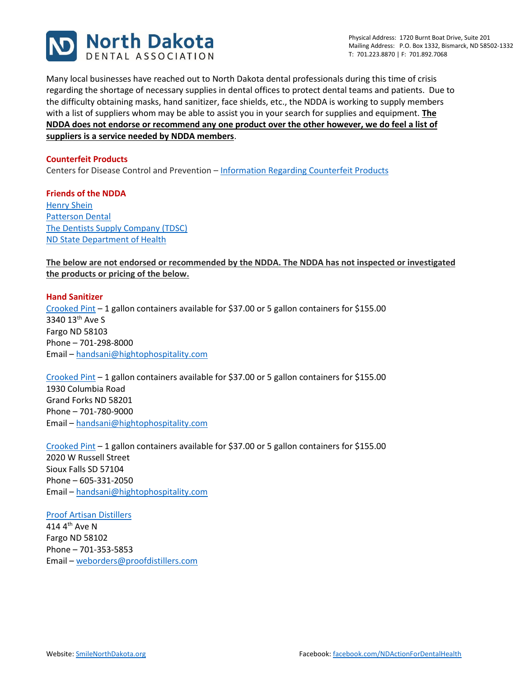

Many local businesses have reached out to North Dakota dental professionals during this time of crisis regarding the shortage of necessary supplies in dental offices to protect dental teams and patients. Due to the difficulty obtaining masks, hand sanitizer, face shields, etc., the NDDA is working to supply members with a list of suppliers whom may be able to assist you in your search for supplies and equipment. **The NDDA does not endorse or recommend any one product over the other however, we do feel a list of suppliers is a service needed by NDDA members**.

### **Counterfeit Products**

Centers for Disease Control and Prevention – [Information Regarding Counterfeit Products](https://www.cdc.gov/niosh/npptl/usernotices/counterfeitResp.html)

**Friends of the NDDA** [Henry Shein](https://www.henryschein.com/us-en/dental/default.aspx?did=dental&id=1&hsi_domain=www.henryschein.com&hsi_locale=us-en) [Patterson Dental](https://www.pattersondental.com/Supplies/Manufacturer?v=770519) [The Dentists Supply Company \(TDSC\)](https://dentalsupplies.tdsc.com/northdakota) [ND State Department of Health](http://hanassets.nd.gov/)

### **The below are not endorsed or recommended by the NDDA. The NDDA has not inspected or investigated the products or pricing of the below.**

# **Hand Sanitizer** [Crooked Pint](https://www.crookedpint.com/hand-sanitizer/) – 1 gallon containers available for \$37.00 or 5 gallon containers for \$155.00 3340 13th Ave S Fargo ND 58103 Phone – 701-298-8000 Email – [handsani@hightophospitality.com](mailto:handsani@hightophospitality.com)

[Crooked Pint](https://www.crookedpint.com/hand-sanitizer/) – 1 gallon containers available for \$37.00 or 5 gallon containers for \$155.00 1930 Columbia Road Grand Forks ND 58201 Phone – 701-780-9000 Email – [handsani@hightophospitality.com](mailto:handsani@hightophospitality.com)

[Crooked Pint](https://www.crookedpint.com/hand-sanitizer/) – 1 gallon containers available for \$37.00 or 5 gallon containers for \$155.00 2020 W Russell Street Sioux Falls SD 57104 Phone – 605-331-2050 Email – [handsani@hightophospitality.com](mailto:handsani@hightophospitality.com)

[Proof Artisan Distillers](https://www.proofartisandistillers.com/) 414 4th Ave N Fargo ND 58102 Phone – 701-353-5853 Email – [weborders@proofdistillers.com](mailto:weborders@proofdistillers.com)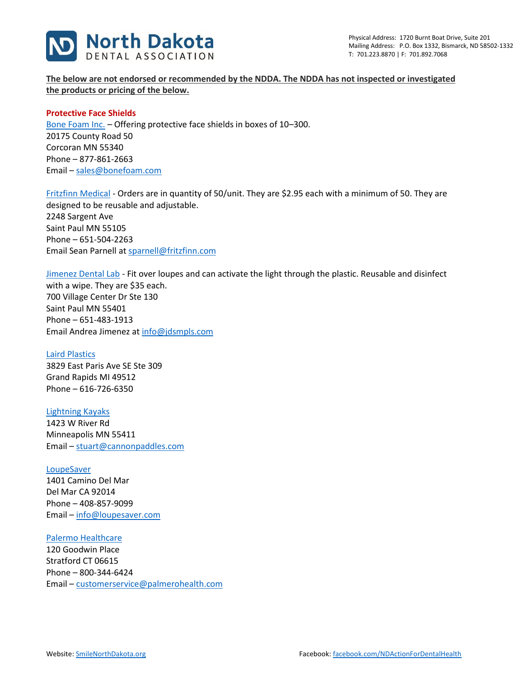

**The below are not endorsed or recommended by the NDDA. The NDDA has not inspected or investigated the products or pricing of the below.** 

### **Protective Face Shields**

[Bone Foam Inc.](https://www.bonefoam.com/) – Offering protective face shields in boxes of 10–300. 20175 County Road 50 Corcoran MN 55340 Phone – 877-861-2663 Email – [sales@bonefoam.com](mailto:sales@bonefoam.com)

[Fritzfinn Medical](https://fritzfinn.com/) - Orders are in quantity of 50/unit. They are \$2.95 each with a minimum of 50. They are designed to be reusable and adjustable. 2248 Sargent Ave Saint Paul MN 55105 Phone – 651-504-2263 Email Sean Parnell at [sparnell@fritzfinn.com](mailto:sparnell@fritzfinn.com)

[Jimenez Dental Lab](https://www.jdsmpls.com/) - Fit over loupes and can activate the light through the plastic. Reusable and disinfect with a wipe. They are \$35 each. 700 Village Center Dr Ste 130 Saint Paul MN 55401 Phone – 651-483-1913 Email Andrea Jimenez at [info@jdsmpls.com](mailto:info@jdsmpls.com)

[Laird Plastics](https://www.lairdplastics.com/) 3829 East Paris Ave SE Ste 309 Grand Rapids MI 49512 Phone – 616-726-6350

### [Lightning Kayaks](https://lightningkayaks.com/collections/face-shields-for-health-workers)

1423 W River Rd Minneapolis MN 55411 Email – [stuart@cannonpaddles.com](mailto:stuart@cannonpaddles.com)

### [LoupeSaver](https://loupesaver.com/)

1401 Camino Del Mar Del Mar CA 92014 Phone – 408-857-9099 Email – [info@loupesaver.com](mailto:info@loupesaver.com)

### [Palermo Healthcare](https://www.palmerohealth.com/collections/safety-eyewear/dynamic-disposables)

120 Goodwin Place Stratford CT 06615 Phone – 800-344-6424 Email – [customerservice@palmerohealth.com](mailto:customerservice@palmerohealth.com)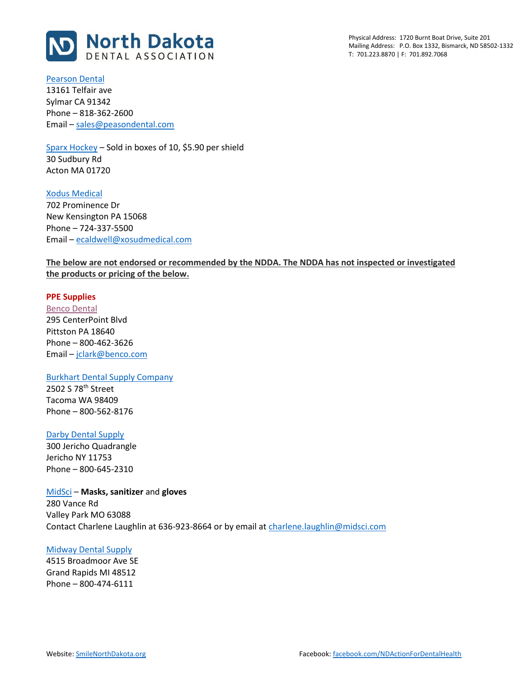

Physical Address: 1720 Burnt Boat Drive, Suite 201 Mailing Address: P.O. Box 1332, Bismarck, ND 58502-1332 T: 701.223.8870 | F: 701.892.7068

[Pearson Dental](https://www.pearsondental.com/catalog/subcat_thumb.asp?majcatid=750&catid=6626) 13161 Telfair ave

Sylmar CA 91342 Phone – 818-362-2600 Email – [sales@peasondental.com](mailto:sales@peasondental.com)

[Sparx Hockey](https://www.sparxhockey.com/pages/sparx-medical-face-shield) – Sold in boxes of 10, \$5.90 per shield 30 Sudbury Rd Acton MA 01720

[Xodus Medical](https://www.xodusmedical.com/) 702 Prominence Dr New Kensington PA 15068 Phone – 724-337-5500 Email – [ecaldwell@xosudmedical.com](mailto:ecaldwell@xosudmedical.com)

## **The below are not endorsed or recommended by the NDDA. The NDDA has not inspected or investigated the products or pricing of the below.**

### **PPE Supplies**

[Benco Dental](https://www.benco.com/) 295 CenterPoint Blvd Pittston PA 18640 Phone – 800-462-3626 Email – [jclark@benco.com](mailto:jclark@benco.com)

#### Burkhart [Dental Supply Company](https://www.burkhartdental.com/)

2502 S 78th Street Tacoma WA 98409 Phone – 800-562-8176

### [Darby Dental Supply](https://www.darbydental.com/darby.aspx)

300 Jericho Quadrangle Jericho NY 11753 Phone – 800-645-2310

[MidSci](https://midsci.com/) – **Masks, sanitizer** and **gloves** 280 Vance Rd Valley Park MO 63088 Contact Charlene Laughlin at 636-923-8664 or by email at [charlene.laughlin@midsci.com](mailto:charlene.laughlin@midsci.com)

### [Midway Dental Supply](https://midwaydental.com/)

4515 Broadmoor Ave SE Grand Rapids MI 48512 Phone – 800-474-6111